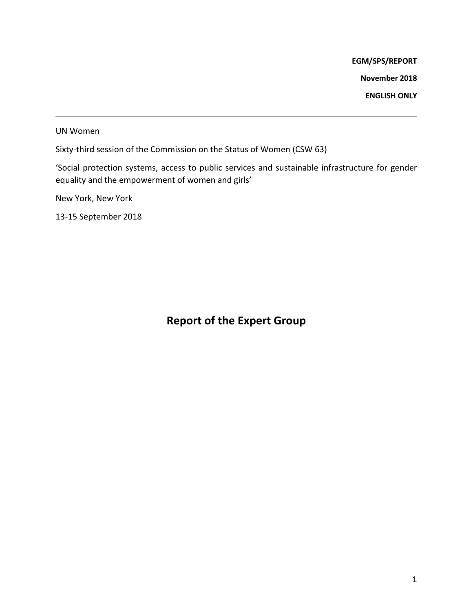**EGM/SPS/REPORT**

**November 2018**

**ENGLISH ONLY**

UN Women

Sixty-third session of the Commission on the Status of Women (CSW 63)

'Social protection systems, access to public services and sustainable infrastructure for gender equality and the empowerment of women and girls'

New York, New York

13-15 September 2018

# **Report of the Expert Group**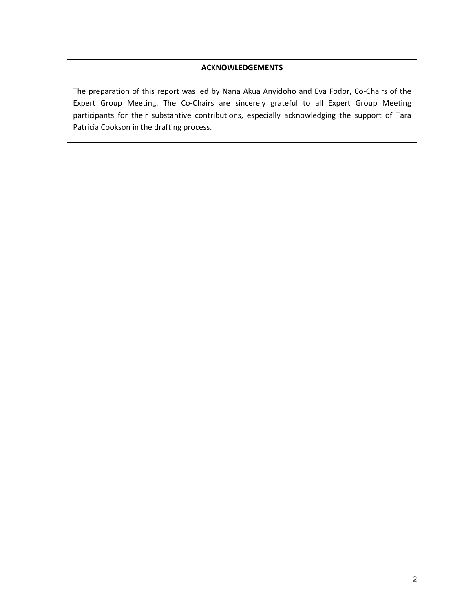#### **ACKNOWLEDGEMENTS**

The preparation of this report was led by Nana Akua Anyidoho and Eva Fodor, Co-Chairs of the Expert Group Meeting. The Co-Chairs are sincerely grateful to all Expert Group Meeting participants for their substantive contributions, especially acknowledging the support of Tara Patricia Cookson in the drafting process.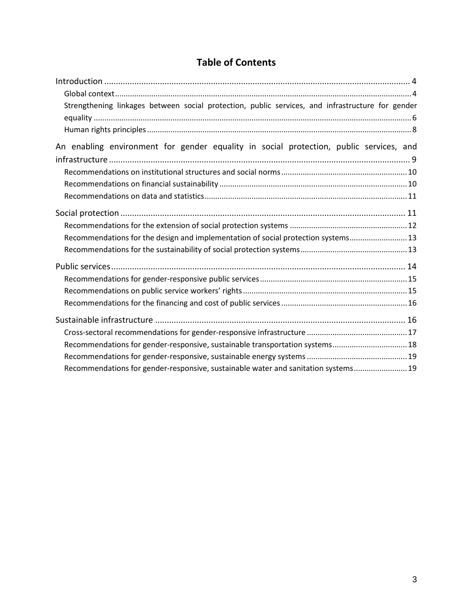# **Table of Contents**

| Strengthening linkages between social protection, public services, and infrastructure for gender |  |
|--------------------------------------------------------------------------------------------------|--|
|                                                                                                  |  |
|                                                                                                  |  |
| An enabling environment for gender equality in social protection, public services, and           |  |
|                                                                                                  |  |
|                                                                                                  |  |
|                                                                                                  |  |
|                                                                                                  |  |
|                                                                                                  |  |
|                                                                                                  |  |
| Recommendations for the design and implementation of social protection systems 13                |  |
|                                                                                                  |  |
|                                                                                                  |  |
|                                                                                                  |  |
|                                                                                                  |  |
|                                                                                                  |  |
|                                                                                                  |  |
|                                                                                                  |  |
| Recommendations for gender-responsive, sustainable transportation systems 18                     |  |
|                                                                                                  |  |
| Recommendations for gender-responsive, sustainable water and sanitation systems 19               |  |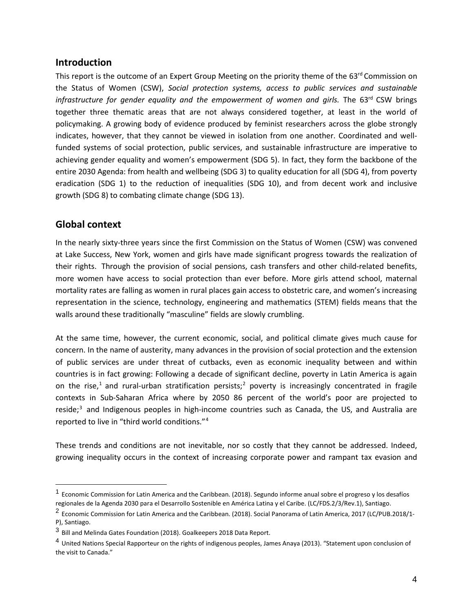#### **Introduction**

This report is the outcome of an Expert Group Meeting on the priority theme of the 63<sup>rd</sup> Commission on the Status of Women (CSW), *Social protection systems, access to public services and sustainable infrastructure for gender equality and the empowerment of women and girls.* The 63<sup>rd</sup> CSW brings together three thematic areas that are not always considered together, at least in the world of policymaking. A growing body of evidence produced by feminist researchers across the globe strongly indicates, however, that they cannot be viewed in isolation from one another. Coordinated and wellfunded systems of social protection, public services, and sustainable infrastructure are imperative to achieving gender equality and women's empowerment (SDG 5). In fact, they form the backbone of the entire 2030 Agenda: from health and wellbeing (SDG 3) to quality education for all (SDG 4), from poverty eradication (SDG 1) to the reduction of inequalities (SDG 10), and from decent work and inclusive growth (SDG 8) to combating climate change (SDG 13).

#### **Global context**

In the nearly sixty-three years since the first Commission on the Status of Women (CSW) was convened at Lake Success, New York, women and girls have made significant progress towards the realization of their rights. Through the provision of social pensions, cash transfers and other child-related benefits, more women have access to social protection than ever before. More girls attend school, maternal mortality rates are falling as women in rural places gain access to obstetric care, and women's increasing representation in the science, technology, engineering and mathematics (STEM) fields means that the walls around these traditionally "masculine" fields are slowly crumbling.

At the same time, however, the current economic, social, and political climate gives much cause for concern. In the name of austerity, many advances in the provision of social protection and the extension of public services are under threat of cutbacks, even as economic inequality between and within countries is in fact growing: Following a decade of significant decline, poverty in Latin America is again on the rise,<sup>[1](#page-3-0)</sup> and rural-urban stratification persists;<sup>[2](#page-3-1)</sup> poverty is increasingly concentrated in fragile contexts in Sub-Saharan Africa where by 2050 86 percent of the world's poor are projected to reside;<sup>[3](#page-3-2)</sup> and Indigenous peoples in high-income countries such as Canada, the US, and Australia are reported to live in "third world conditions."[4](#page-3-3)

These trends and conditions are not inevitable, nor so costly that they cannot be addressed. Indeed, growing inequality occurs in the context of increasing corporate power and rampant tax evasion and

<span id="page-3-0"></span> $<sup>1</sup>$  Economic Commission for Latin America and the Caribbean. (2018). Segundo informe anual sobre el progreso y los desafíos</sup> regionales de la Agenda 2030 para el Desarrollo Sostenible en América Latina y el Caribe. (LC/FDS.2/3/Rev.1), Santiago.

<span id="page-3-1"></span><sup>2</sup> Economic Commission for Latin America and the Caribbean. (2018). Social Panorama of Latin America, 2017 (LC/PUB.2018/1- P), Santiago.

<span id="page-3-2"></span><sup>3</sup> Bill and Melinda Gates Foundation (2018). Goalkeepers 2018 Data Report.

<span id="page-3-3"></span><sup>&</sup>lt;sup>4</sup> United Nations Special Rapporteur on the rights of indigenous peoples, James Anaya (2013). "Statement upon conclusion of the visit to Canada."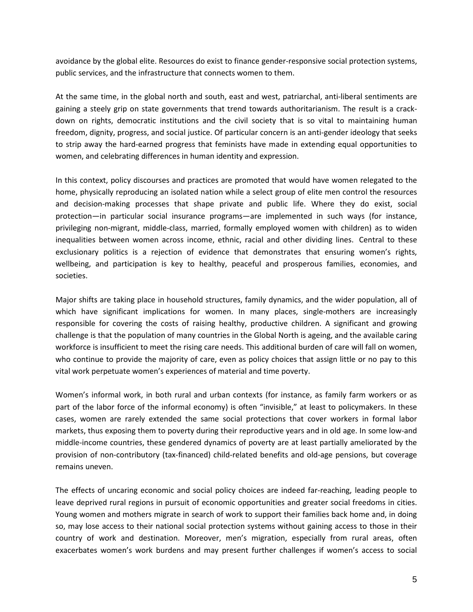avoidance by the global elite. Resources do exist to finance gender-responsive social protection systems, public services, and the infrastructure that connects women to them.

At the same time, in the global north and south, east and west, patriarchal, anti-liberal sentiments are gaining a steely grip on state governments that trend towards authoritarianism. The result is a crackdown on rights, democratic institutions and the civil society that is so vital to maintaining human freedom, dignity, progress, and social justice. Of particular concern is an anti-gender ideology that seeks to strip away the hard-earned progress that feminists have made in extending equal opportunities to women, and celebrating differences in human identity and expression.

In this context, policy discourses and practices are promoted that would have women relegated to the home, physically reproducing an isolated nation while a select group of elite men control the resources and decision-making processes that shape private and public life. Where they do exist, social protection—in particular social insurance programs—are implemented in such ways (for instance, privileging non-migrant, middle-class, married, formally employed women with children) as to widen inequalities between women across income, ethnic, racial and other dividing lines. Central to these exclusionary politics is a rejection of evidence that demonstrates that ensuring women's rights, wellbeing, and participation is key to healthy, peaceful and prosperous families, economies, and societies.

Major shifts are taking place in household structures, family dynamics, and the wider population, all of which have significant implications for women. In many places, single-mothers are increasingly responsible for covering the costs of raising healthy, productive children. A significant and growing challenge is that the population of many countries in the Global North is ageing, and the available caring workforce is insufficient to meet the rising care needs. This additional burden of care will fall on women, who continue to provide the majority of care, even as policy choices that assign little or no pay to this vital work perpetuate women's experiences of material and time poverty.

Women's informal work, in both rural and urban contexts (for instance, as family farm workers or as part of the labor force of the informal economy) is often "invisible," at least to policymakers. In these cases, women are rarely extended the same social protections that cover workers in formal labor markets, thus exposing them to poverty during their reproductive years and in old age. In some low-and middle-income countries, these gendered dynamics of poverty are at least partially ameliorated by the provision of non-contributory (tax-financed) child-related benefits and old-age pensions, but coverage remains uneven.

The effects of uncaring economic and social policy choices are indeed far-reaching, leading people to leave deprived rural regions in pursuit of economic opportunities and greater social freedoms in cities. Young women and mothers migrate in search of work to support their families back home and, in doing so, may lose access to their national social protection systems without gaining access to those in their country of work and destination. Moreover, men's migration, especially from rural areas, often exacerbates women's work burdens and may present further challenges if women's access to social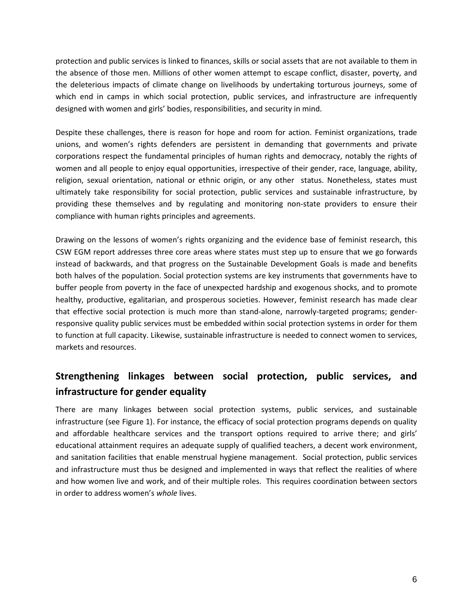protection and public services is linked to finances, skills or social assets that are not available to them in the absence of those men. Millions of other women attempt to escape conflict, disaster, poverty, and the deleterious impacts of climate change on livelihoods by undertaking torturous journeys, some of which end in camps in which social protection, public services, and infrastructure are infrequently designed with women and girls' bodies, responsibilities, and security in mind.

Despite these challenges, there is reason for hope and room for action. Feminist organizations, trade unions, and women's rights defenders are persistent in demanding that governments and private corporations respect the fundamental principles of human rights and democracy, notably the rights of women and all people to enjoy equal opportunities, irrespective of their gender, race, language, ability, religion, sexual orientation, national or ethnic origin, or any other status. Nonetheless, states must ultimately take responsibility for social protection, public services and sustainable infrastructure, by providing these themselves and by regulating and monitoring non-state providers to ensure their compliance with human rights principles and agreements.

Drawing on the lessons of women's rights organizing and the evidence base of feminist research, this CSW EGM report addresses three core areas where states must step up to ensure that we go forwards instead of backwards, and that progress on the Sustainable Development Goals is made and benefits both halves of the population. Social protection systems are key instruments that governments have to buffer people from poverty in the face of unexpected hardship and exogenous shocks, and to promote healthy, productive, egalitarian, and prosperous societies. However, feminist research has made clear that effective social protection is much more than stand-alone, narrowly-targeted programs; genderresponsive quality public services must be embedded within social protection systems in order for them to function at full capacity. Likewise, sustainable infrastructure is needed to connect women to services, markets and resources.

## **Strengthening linkages between social protection, public services, and infrastructure for gender equality**

There are many linkages between social protection systems, public services, and sustainable infrastructure (see Figure 1). For instance, the efficacy of social protection programs depends on quality and affordable healthcare services and the transport options required to arrive there; and girls' educational attainment requires an adequate supply of qualified teachers, a decent work environment, and sanitation facilities that enable menstrual hygiene management. Social protection, public services and infrastructure must thus be designed and implemented in ways that reflect the realities of where and how women live and work, and of their multiple roles. This requires coordination between sectors in order to address women's *whole* lives.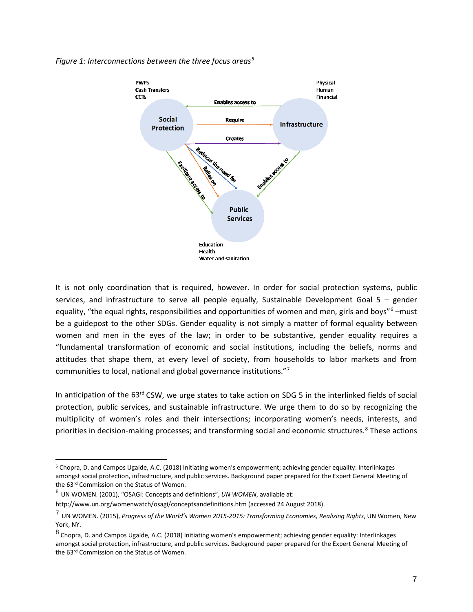

*Figure 1: Interconnections between the three focus areas[5](#page-6-0)*

It is not only coordination that is required, however. In order for social protection systems, public services, and infrastructure to serve all people equally, Sustainable Development Goal  $5$  – gender equality, "the equal rights, responsibilities and opportunities of women and men, girls and boys"<sup>[6](#page-6-1)</sup> –must be a guidepost to the other SDGs. Gender equality is not simply a matter of formal equality between women and men in the eyes of the law; in order to be substantive, gender equality requires a "fundamental transformation of economic and social institutions, including the beliefs, norms and attitudes that shape them, at every level of society, from households to labor markets and from communities to local, national and global governance institutions."[7](#page-6-2)

In anticipation of the 63<sup>rd</sup> CSW, we urge states to take action on SDG 5 in the interlinked fields of social protection, public services, and sustainable infrastructure. We urge them to do so by recognizing the multiplicity of women's roles and their intersections; incorporating women's needs, interests, and priorities in decision-making processes; and transforming social and economic structures.<sup>[8](#page-6-3)</sup> These actions

 $\overline{a}$ 

<span id="page-6-0"></span><sup>5</sup> Chopra, D. and Campos Ugalde, A.C. (2018) Initiating women's empowerment; achieving gender equality: Interlinkages amongst social protection, infrastructure, and public services. Background paper prepared for the Expert General Meeting of the 63<sup>rd</sup> Commission on the Status of Women.

<span id="page-6-1"></span><sup>6</sup> UN WOMEN. (2001), "OSAGI: Concepts and definitions", *UN WOMEN*, available at:

http://www.un.org/womenwatch/osagi/conceptsandefinitions.htm (accessed 24 August 2018).

<span id="page-6-2"></span><sup>7</sup> UN WOMEN. (2015), *Progress of the World's Women 2015-2015: Transforming Economies, Realizing Rights*, UN Women, New York, NY.

<span id="page-6-3"></span><sup>8</sup> Chopra, D. and Campos Ugalde, A.C. (2018) Initiating women's empowerment; achieving gender equality: Interlinkages amongst social protection, infrastructure, and public services. Background paper prepared for the Expert General Meeting of the 63<sup>rd</sup> Commission on the Status of Women.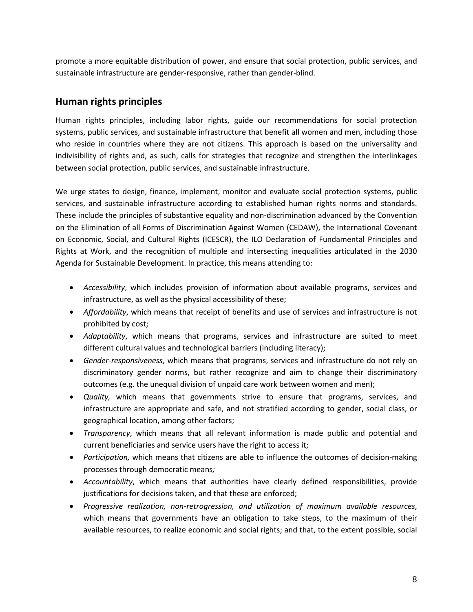promote a more equitable distribution of power, and ensure that social protection, public services, and sustainable infrastructure are gender-responsive, rather than gender-blind.

### **Human rights principles**

Human rights principles, including labor rights, guide our recommendations for social protection systems, public services, and sustainable infrastructure that benefit all women and men, including those who reside in countries where they are not citizens. This approach is based on the universality and indivisibility of rights and, as such, calls for strategies that recognize and strengthen the interlinkages between social protection, public services, and sustainable infrastructure.

We urge states to design, finance, implement, monitor and evaluate social protection systems, public services, and sustainable infrastructure according to established human rights norms and standards. These include the principles of substantive equality and non-discrimination advanced by the Convention on the Elimination of all Forms of Discrimination Against Women (CEDAW), the International Covenant on Economic, Social, and Cultural Rights (ICESCR), the ILO Declaration of Fundamental Principles and Rights at Work, and the recognition of multiple and intersecting inequalities articulated in the 2030 Agenda for Sustainable Development. In practice, this means attending to:

- *Accessibility*, which includes provision of information about available programs, services and infrastructure, as well as the physical accessibility of these;
- *Affordability*, which means that receipt of benefits and use of services and infrastructure is not prohibited by cost;
- *Adaptability*, which means that programs, services and infrastructure are suited to meet different cultural values and technological barriers (including literacy);
- *Gender-responsiveness*, which means that programs, services and infrastructure do not rely on discriminatory gender norms, but rather recognize and aim to change their discriminatory outcomes (e.g. the unequal division of unpaid care work between women and men);
- *Quality,* which means that governments strive to ensure that programs, services, and infrastructure are appropriate and safe, and not stratified according to gender, social class, or geographical location, among other factors;
- *Transparency*, which means that all relevant information is made public and potential and current beneficiaries and service users have the right to access it;
- *Participation,* which means that citizens are able to influence the outcomes of decision-making processes through democratic means*;*
- *Accountability*, which means that authorities have clearly defined responsibilities, provide justifications for decisions taken, and that these are enforced;
- *Progressive realization, non-retrogression, and utilization of maximum available resources*, which means that governments have an obligation to take steps, to the maximum of their available resources, to realize economic and social rights; and that, to the extent possible, social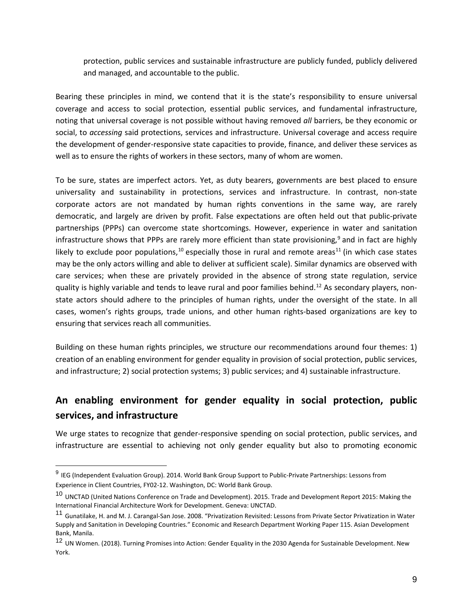protection, public services and sustainable infrastructure are publicly funded, publicly delivered and managed, and accountable to the public.

Bearing these principles in mind, we contend that it is the state's responsibility to ensure universal coverage and access to social protection, essential public services, and fundamental infrastructure, noting that universal coverage is not possible without having removed *all* barriers, be they economic or social, to *accessing* said protections, services and infrastructure. Universal coverage and access require the development of gender-responsive state capacities to provide, finance, and deliver these services as well as to ensure the rights of workers in these sectors, many of whom are women.

To be sure, states are imperfect actors. Yet, as duty bearers, governments are best placed to ensure universality and sustainability in protections, services and infrastructure. In contrast, non-state corporate actors are not mandated by human rights conventions in the same way, are rarely democratic, and largely are driven by profit. False expectations are often held out that public-private partnerships (PPPs) can overcome state shortcomings. However, experience in water and sanitation infrastructure shows that PPPs are rarely more efficient than state provisioning,<sup>[9](#page-8-0)</sup> and in fact are highly likely to exclude poor populations,<sup>[10](#page-8-1)</sup> especially those in rural and remote areas<sup>[11](#page-8-2)</sup> (in which case states may be the only actors willing and able to deliver at sufficient scale). Similar dynamics are observed with care services; when these are privately provided in the absence of strong state regulation, service quality is highly variable and tends to leave rural and poor families behind. [12](#page-8-3) As secondary players, nonstate actors should adhere to the principles of human rights, under the oversight of the state. In all cases, women's rights groups, trade unions, and other human rights-based organizations are key to ensuring that services reach all communities.

Building on these human rights principles, we structure our recommendations around four themes: 1) creation of an enabling environment for gender equality in provision of social protection, public services, and infrastructure; 2) social protection systems; 3) public services; and 4) sustainable infrastructure.

## **An enabling environment for gender equality in social protection, public services, and infrastructure**

We urge states to recognize that gender-responsive spending on social protection, public services, and infrastructure are essential to achieving not only gender equality but also to promoting economic

<span id="page-8-0"></span> <sup>9</sup> IEG (Independent Evaluation Group). 2014. World Bank Group Support to Public-Private Partnerships: Lessons from Experience in Client Countries, FY02-12. Washington, DC: World Bank Group.

<span id="page-8-1"></span><sup>&</sup>lt;sup>10</sup> UNCTAD (United Nations Conference on Trade and Development). 2015. Trade and Development Report 2015: Making the International Financial Architecture Work for Development. Geneva: UNCTAD.

<span id="page-8-2"></span><sup>&</sup>lt;sup>11</sup> Gunatilake, H. and M. J. Carangal-San Jose. 2008. "Privatization Revisited: Lessons from Private Sector Privatization in Water Supply and Sanitation in Developing Countries." Economic and Research Department Working Paper 115. Asian Development Bank, Manila.

<span id="page-8-3"></span><sup>12</sup> UN Women. (2018). Turning Promises into Action: Gender Equality in the 2030 Agenda for Sustainable Development. New York.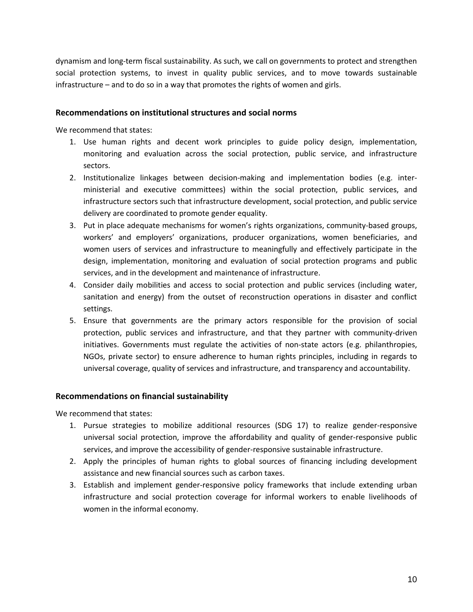dynamism and long-term fiscal sustainability. As such, we call on governments to protect and strengthen social protection systems, to invest in quality public services, and to move towards sustainable infrastructure – and to do so in a way that promotes the rights of women and girls.

#### **Recommendations on institutional structures and social norms**

We recommend that states:

- 1. Use human rights and decent work principles to guide policy design, implementation, monitoring and evaluation across the social protection, public service, and infrastructure sectors.
- 2. Institutionalize linkages between decision-making and implementation bodies (e.g. interministerial and executive committees) within the social protection, public services, and infrastructure sectors such that infrastructure development, social protection, and public service delivery are coordinated to promote gender equality.
- 3. Put in place adequate mechanisms for women's rights organizations, community-based groups, workers' and employers' organizations, producer organizations, women beneficiaries, and women users of services and infrastructure to meaningfully and effectively participate in the design, implementation, monitoring and evaluation of social protection programs and public services, and in the development and maintenance of infrastructure.
- 4. Consider daily mobilities and access to social protection and public services (including water, sanitation and energy) from the outset of reconstruction operations in disaster and conflict settings.
- 5. Ensure that governments are the primary actors responsible for the provision of social protection, public services and infrastructure, and that they partner with community-driven initiatives. Governments must regulate the activities of non-state actors (e.g. philanthropies, NGOs, private sector) to ensure adherence to human rights principles, including in regards to universal coverage, quality of services and infrastructure, and transparency and accountability.

#### **Recommendations on financial sustainability**

- 1. Pursue strategies to mobilize additional resources (SDG 17) to realize gender-responsive universal social protection, improve the affordability and quality of gender-responsive public services, and improve the accessibility of gender-responsive sustainable infrastructure.
- 2. Apply the principles of human rights to global sources of financing including development assistance and new financial sources such as carbon taxes.
- 3. Establish and implement gender-responsive policy frameworks that include extending urban infrastructure and social protection coverage for informal workers to enable livelihoods of women in the informal economy.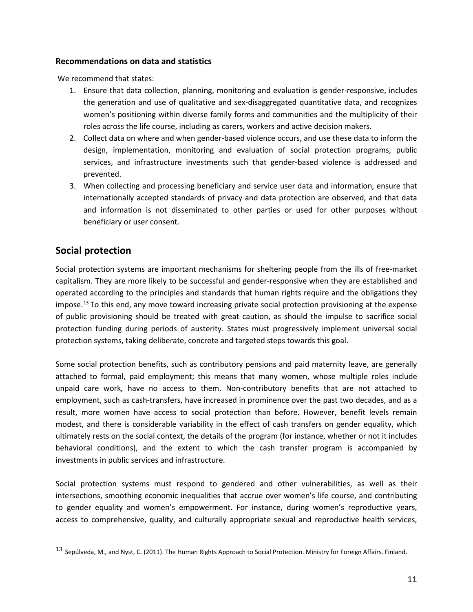#### **Recommendations on data and statistics**

We recommend that states:

- 1. Ensure that data collection, planning, monitoring and evaluation is gender-responsive, includes the generation and use of qualitative and sex-disaggregated quantitative data, and recognizes women's positioning within diverse family forms and communities and the multiplicity of their roles across the life course, including as carers, workers and active decision makers.
- 2. Collect data on where and when gender-based violence occurs, and use these data to inform the design, implementation, monitoring and evaluation of social protection programs, public services, and infrastructure investments such that gender-based violence is addressed and prevented.
- 3. When collecting and processing beneficiary and service user data and information, ensure that internationally accepted standards of privacy and data protection are observed, and that data and information is not disseminated to other parties or used for other purposes without beneficiary or user consent.

## **Social protection**

Social protection systems are important mechanisms for sheltering people from the ills of free-market capitalism. They are more likely to be successful and gender-responsive when they are established and operated according to the principles and standards that human rights require and the obligations they impose. [13](#page-10-0) To this end, any move toward increasing private social protection provisioning at the expense of public provisioning should be treated with great caution, as should the impulse to sacrifice social protection funding during periods of austerity. States must progressively implement universal social protection systems, taking deliberate, concrete and targeted steps towards this goal.

Some social protection benefits, such as contributory pensions and paid maternity leave, are generally attached to formal, paid employment; this means that many women, whose multiple roles include unpaid care work, have no access to them. Non-contributory benefits that are not attached to employment, such as cash-transfers, have increased in prominence over the past two decades, and as a result, more women have access to social protection than before. However, benefit levels remain modest, and there is considerable variability in the effect of cash transfers on gender equality, which ultimately rests on the social context, the details of the program (for instance, whether or not it includes behavioral conditions), and the extent to which the cash transfer program is accompanied by investments in public services and infrastructure.

Social protection systems must respond to gendered and other vulnerabilities, as well as their intersections, smoothing economic inequalities that accrue over women's life course, and contributing to gender equality and women's empowerment. For instance, during women's reproductive years, access to comprehensive, quality, and culturally appropriate sexual and reproductive health services,

<span id="page-10-0"></span> <sup>13</sup> Sepúlveda, M., and Nyst, C. (2011). The Human Rights Approach to Social Protection. Ministry for Foreign Affairs. Finland.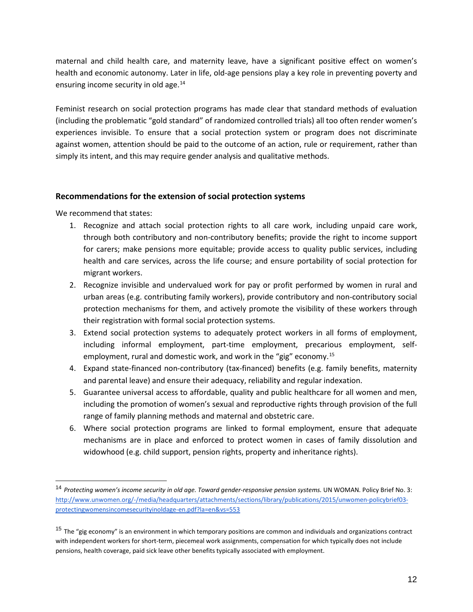maternal and child health care, and maternity leave, have a significant positive effect on women's health and economic autonomy. Later in life, old-age pensions play a key role in preventing poverty and ensuring income security in old age.<sup>[14](#page-11-0)</sup>

Feminist research on social protection programs has made clear that standard methods of evaluation (including the problematic "gold standard" of randomized controlled trials) all too often render women's experiences invisible. To ensure that a social protection system or program does not discriminate against women, attention should be paid to the outcome of an action, rule or requirement, rather than simply its intent, and this may require gender analysis and qualitative methods.

#### **Recommendations for the extension of social protection systems**

- 1. Recognize and attach social protection rights to all care work, including unpaid care work, through both contributory and non-contributory benefits; provide the right to income support for carers; make pensions more equitable; provide access to quality public services, including health and care services, across the life course; and ensure portability of social protection for migrant workers.
- 2. Recognize invisible and undervalued work for pay or profit performed by women in rural and urban areas (e.g. contributing family workers), provide contributory and non-contributory social protection mechanisms for them, and actively promote the visibility of these workers through their registration with formal social protection systems.
- 3. Extend social protection systems to adequately protect workers in all forms of employment, including informal employment, part-time employment, precarious employment, self-employment, rural and domestic work, and work in the "gig" economy.<sup>[15](#page-11-1)</sup>
- 4. Expand state-financed non-contributory (tax-financed) benefits (e.g. family benefits, maternity and parental leave) and ensure their adequacy, reliability and regular indexation.
- 5. Guarantee universal access to affordable, quality and public healthcare for all women and men, including the promotion of women's sexual and reproductive rights through provision of the full range of family planning methods and maternal and obstetric care.
- 6. Where social protection programs are linked to formal employment, ensure that adequate mechanisms are in place and enforced to protect women in cases of family dissolution and widowhood (e.g. child support, pension rights, property and inheritance rights).

<span id="page-11-0"></span> <sup>14</sup> *Protecting women's income security in old age. Toward gender-responsive pension systems.* UN WOMAN. Policy Brief No. 3: [http://www.unwomen.org/-/media/headquarters/attachments/sections/library/publications/2015/unwomen-policybrief03](http://www.unwomen.org/-/media/headquarters/attachments/sections/library/publications/2015/unwomen-policybrief03-protectingwomensincomesecurityinoldage-en.pdf?la=en&vs=553) [protectingwomensincomesecurityinoldage-en.pdf?la=en&vs=553](http://www.unwomen.org/-/media/headquarters/attachments/sections/library/publications/2015/unwomen-policybrief03-protectingwomensincomesecurityinoldage-en.pdf?la=en&vs=553)

<span id="page-11-1"></span> $15$  The "gig economy" is an environment in which temporary positions are common and individuals and organizations contract with independent workers for short-term, piecemeal work assignments, compensation for which typically does not include pensions, health coverage, paid sick leave other benefits typically associated with employment.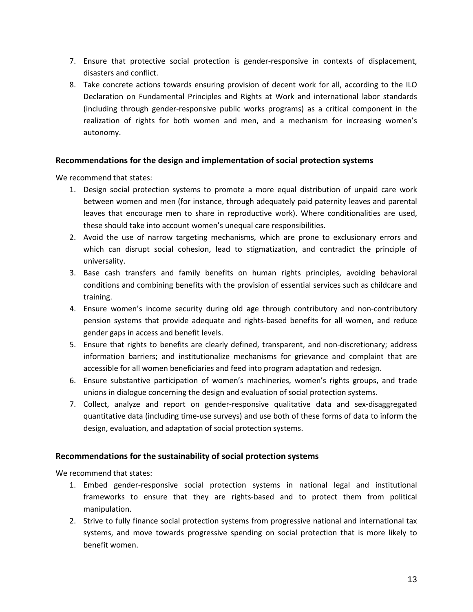- 7. Ensure that protective social protection is gender-responsive in contexts of displacement, disasters and conflict.
- 8. Take concrete actions towards ensuring provision of decent work for all, according to the ILO Declaration on Fundamental Principles and Rights at Work and international labor standards (including through gender-responsive public works programs) as a critical component in the realization of rights for both women and men, and a mechanism for increasing women's autonomy.

#### **Recommendations for the design and implementation of social protection systems**

We recommend that states:

- 1. Design social protection systems to promote a more equal distribution of unpaid care work between women and men (for instance, through adequately paid paternity leaves and parental leaves that encourage men to share in reproductive work). Where conditionalities are used, these should take into account women's unequal care responsibilities.
- 2. Avoid the use of narrow targeting mechanisms, which are prone to exclusionary errors and which can disrupt social cohesion, lead to stigmatization, and contradict the principle of universality.
- 3. Base cash transfers and family benefits on human rights principles, avoiding behavioral conditions and combining benefits with the provision of essential services such as childcare and training.
- 4. Ensure women's income security during old age through contributory and non-contributory pension systems that provide adequate and rights-based benefits for all women, and reduce gender gaps in access and benefit levels.
- 5. Ensure that rights to benefits are clearly defined, transparent, and non-discretionary; address information barriers; and institutionalize mechanisms for grievance and complaint that are accessible for all women beneficiaries and feed into program adaptation and redesign.
- 6. Ensure substantive participation of women's machineries, women's rights groups, and trade unions in dialogue concerning the design and evaluation of social protection systems.
- 7. Collect, analyze and report on gender-responsive qualitative data and sex-disaggregated quantitative data (including time-use surveys) and use both of these forms of data to inform the design, evaluation, and adaptation of social protection systems.

#### **Recommendations for the sustainability of social protection systems**

- 1. Embed gender-responsive social protection systems in national legal and institutional frameworks to ensure that they are rights-based and to protect them from political manipulation.
- 2. Strive to fully finance social protection systems from progressive national and international tax systems, and move towards progressive spending on social protection that is more likely to benefit women.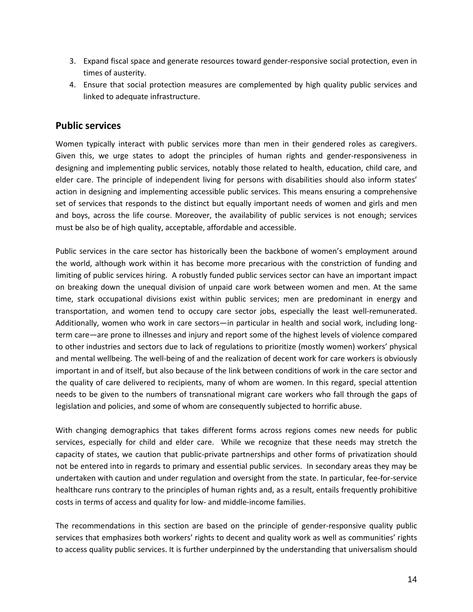- 3. Expand fiscal space and generate resources toward gender-responsive social protection, even in times of austerity.
- 4. Ensure that social protection measures are complemented by high quality public services and linked to adequate infrastructure.

### **Public services**

Women typically interact with public services more than men in their gendered roles as caregivers. Given this, we urge states to adopt the principles of human rights and gender-responsiveness in designing and implementing public services, notably those related to health, education, child care, and elder care. The principle of independent living for persons with disabilities should also inform states' action in designing and implementing accessible public services. This means ensuring a comprehensive set of services that responds to the distinct but equally important needs of women and girls and men and boys, across the life course. Moreover, the availability of public services is not enough; services must be also be of high quality, acceptable, affordable and accessible.

Public services in the care sector has historically been the backbone of women's employment around the world, although work within it has become more precarious with the constriction of funding and limiting of public services hiring. A robustly funded public services sector can have an important impact on breaking down the unequal division of unpaid care work between women and men. At the same time, stark occupational divisions exist within public services; men are predominant in energy and transportation, and women tend to occupy care sector jobs, especially the least well-remunerated. Additionally, women who work in care sectors—in particular in health and social work, including longterm care—are prone to illnesses and injury and report some of the highest levels of violence compared to other industries and sectors due to lack of regulations to prioritize (mostly women) workers' physical and mental wellbeing. The well-being of and the realization of decent work for care workers is obviously important in and of itself, but also because of the link between conditions of work in the care sector and the quality of care delivered to recipients, many of whom are women. In this regard, special attention needs to be given to the numbers of transnational migrant care workers who fall through the gaps of legislation and policies, and some of whom are consequently subjected to horrific abuse.

With changing demographics that takes different forms across regions comes new needs for public services, especially for child and elder care. While we recognize that these needs may stretch the capacity of states, we caution that public-private partnerships and other forms of privatization should not be entered into in regards to primary and essential public services. In secondary areas they may be undertaken with caution and under regulation and oversight from the state. In particular, fee-for-service healthcare runs contrary to the principles of human rights and, as a result, entails frequently prohibitive costs in terms of access and quality for low- and middle-income families.

The recommendations in this section are based on the principle of gender-responsive quality public services that emphasizes both workers' rights to decent and quality work as well as communities' rights to access quality public services. It is further underpinned by the understanding that universalism should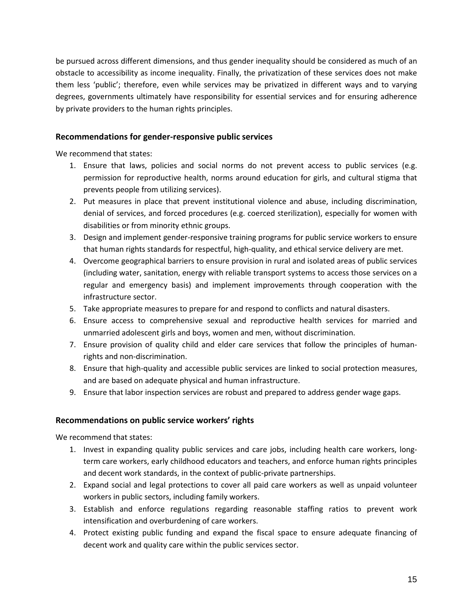be pursued across different dimensions, and thus gender inequality should be considered as much of an obstacle to accessibility as income inequality. Finally, the privatization of these services does not make them less 'public'; therefore, even while services may be privatized in different ways and to varying degrees, governments ultimately have responsibility for essential services and for ensuring adherence by private providers to the human rights principles.

#### **Recommendations for gender-responsive public services**

We recommend that states:

- 1. Ensure that laws, policies and social norms do not prevent access to public services (e.g. permission for reproductive health, norms around education for girls, and cultural stigma that prevents people from utilizing services).
- 2. Put measures in place that prevent institutional violence and abuse, including discrimination, denial of services, and forced procedures (e.g. coerced sterilization), especially for women with disabilities or from minority ethnic groups.
- 3. Design and implement gender-responsive training programs for public service workers to ensure that human rights standards for respectful, high-quality, and ethical service delivery are met.
- 4. Overcome geographical barriers to ensure provision in rural and isolated areas of public services (including water, sanitation, energy with reliable transport systems to access those services on a regular and emergency basis) and implement improvements through cooperation with the infrastructure sector.
- 5. Take appropriate measures to prepare for and respond to conflicts and natural disasters.
- 6. Ensure access to comprehensive sexual and reproductive health services for married and unmarried adolescent girls and boys, women and men, without discrimination.
- 7. Ensure provision of quality child and elder care services that follow the principles of humanrights and non-discrimination.
- 8. Ensure that high-quality and accessible public services are linked to social protection measures, and are based on adequate physical and human infrastructure.
- 9. Ensure that labor inspection services are robust and prepared to address gender wage gaps.

#### **Recommendations on public service workers' rights**

- 1. Invest in expanding quality public services and care jobs, including health care workers, longterm care workers, early childhood educators and teachers, and enforce human rights principles and decent work standards, in the context of public-private partnerships.
- 2. Expand social and legal protections to cover all paid care workers as well as unpaid volunteer workers in public sectors, including family workers.
- 3. Establish and enforce regulations regarding reasonable staffing ratios to prevent work intensification and overburdening of care workers.
- 4. Protect existing public funding and expand the fiscal space to ensure adequate financing of decent work and quality care within the public services sector.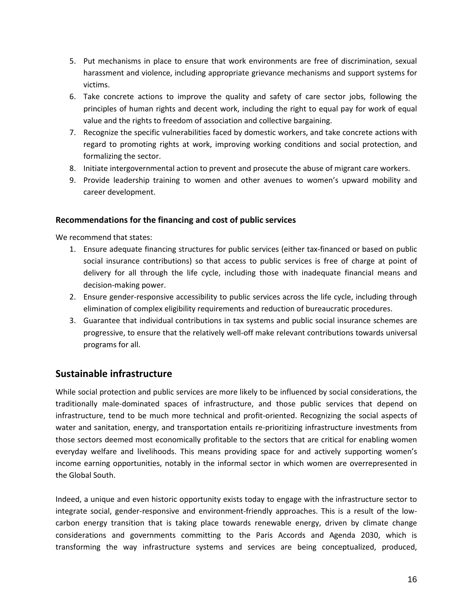- 5. Put mechanisms in place to ensure that work environments are free of discrimination, sexual harassment and violence, including appropriate grievance mechanisms and support systems for victims.
- 6. Take concrete actions to improve the quality and safety of care sector jobs, following the principles of human rights and decent work, including the right to equal pay for work of equal value and the rights to freedom of association and collective bargaining.
- 7. Recognize the specific vulnerabilities faced by domestic workers, and take concrete actions with regard to promoting rights at work, improving working conditions and social protection, and formalizing the sector.
- 8. Initiate intergovernmental action to prevent and prosecute the abuse of migrant care workers.
- 9. Provide leadership training to women and other avenues to women's upward mobility and career development.

#### **Recommendations for the financing and cost of public services**

We recommend that states:

- 1. Ensure adequate financing structures for public services (either tax-financed or based on public social insurance contributions) so that access to public services is free of charge at point of delivery for all through the life cycle, including those with inadequate financial means and decision-making power.
- 2. Ensure gender-responsive accessibility to public services across the life cycle, including through elimination of complex eligibility requirements and reduction of bureaucratic procedures.
- 3. Guarantee that individual contributions in tax systems and public social insurance schemes are progressive, to ensure that the relatively well-off make relevant contributions towards universal programs for all.

#### **Sustainable infrastructure**

While social protection and public services are more likely to be influenced by social considerations, the traditionally male-dominated spaces of infrastructure, and those public services that depend on infrastructure, tend to be much more technical and profit-oriented. Recognizing the social aspects of water and sanitation, energy, and transportation entails re-prioritizing infrastructure investments from those sectors deemed most economically profitable to the sectors that are critical for enabling women everyday welfare and livelihoods. This means providing space for and actively supporting women's income earning opportunities, notably in the informal sector in which women are overrepresented in the Global South.

Indeed, a unique and even historic opportunity exists today to engage with the infrastructure sector to integrate social, gender-responsive and environment-friendly approaches. This is a result of the lowcarbon energy transition that is taking place towards renewable energy, driven by climate change considerations and governments committing to the Paris Accords and Agenda 2030, which is transforming the way infrastructure systems and services are being conceptualized, produced,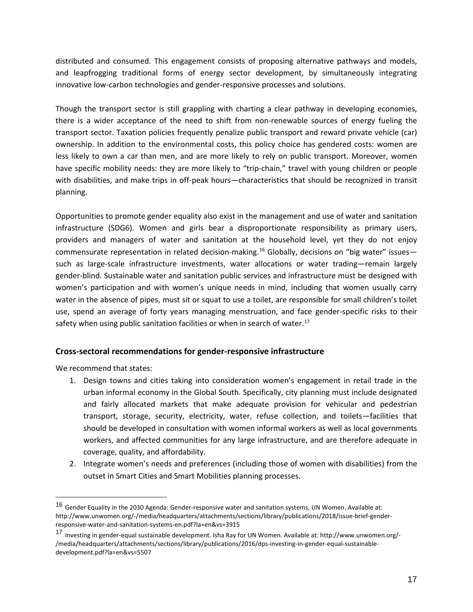distributed and consumed. This engagement consists of proposing alternative pathways and models, and leapfrogging traditional forms of energy sector development, by simultaneously integrating innovative low-carbon technologies and gender-responsive processes and solutions.

Though the transport sector is still grappling with charting a clear pathway in developing economies, there is a wider acceptance of the need to shift from non-renewable sources of energy fueling the transport sector. Taxation policies frequently penalize public transport and reward private vehicle (car) ownership. In addition to the environmental costs, this policy choice has gendered costs: women are less likely to own a car than men, and are more likely to rely on public transport. Moreover, women have specific mobility needs: they are more likely to "trip-chain," travel with young children or people with disabilities, and make trips in off-peak hours—characteristics that should be recognized in transit planning.

Opportunities to promote gender equality also exist in the management and use of water and sanitation infrastructure (SDG6). Women and girls bear a disproportionate responsibility as primary users, providers and managers of water and sanitation at the household level, yet they do not enjoy commensurate representation in related decision-making.<sup>[16](#page-16-0)</sup> Globally, decisions on "big water" issues such as large-scale infrastructure investments, water allocations or water trading—remain largely gender-blind. Sustainable water and sanitation public services and infrastructure must be designed with women's participation and with women's unique needs in mind, including that women usually carry water in the absence of pipes, must sit or squat to use a toilet, are responsible for small children's toilet use, spend an average of forty years managing menstruation, and face gender-specific risks to their safety when using public sanitation facilities or when in search of water.<sup>[17](#page-16-1)</sup>

#### **Cross-sectoral recommendations for gender-responsive infrastructure**

- 1. Design towns and cities taking into consideration women's engagement in retail trade in the urban informal economy in the Global South. Specifically, city planning must include designated and fairly allocated markets that make adequate provision for vehicular and pedestrian transport, storage, security, electricity, water, refuse collection, and toilets—facilities that should be developed in consultation with women informal workers as well as local governments workers, and affected communities for any large infrastructure, and are therefore adequate in coverage, quality, and affordability.
- 2. Integrate women's needs and preferences (including those of women with disabilities) from the outset in Smart Cities and Smart Mobilities planning processes.

<span id="page-16-0"></span> <sup>16</sup> Gender Equality in the 2030 Agenda: Gender-responsive water and sanitation systems, UN Women. Available at: http://www.unwomen.org/-/media/headquarters/attachments/sections/library/publications/2018/issue-brief-genderresponsive-water-and-sanitation-systems-en.pdf?la=en&vs=3915

<span id="page-16-1"></span><sup>17</sup> Investing in gender-equal sustainable development. Isha Ray for UN Women. Available at: http://www.unwomen.org/- /media/headquarters/attachments/sections/library/publications/2016/dps-investing-in-gender-equal-sustainabledevelopment.pdf?la=en&vs=5507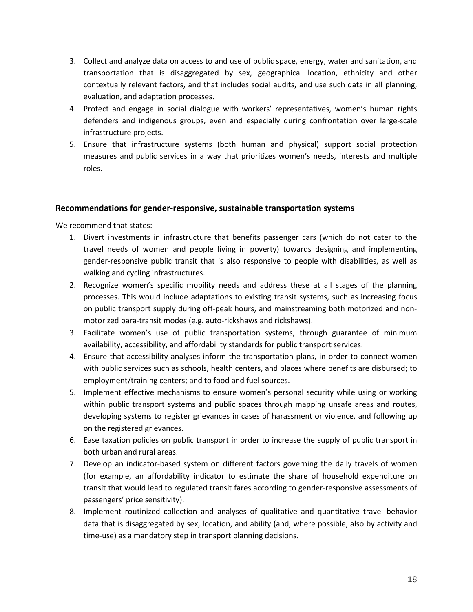- 3. Collect and analyze data on access to and use of public space, energy, water and sanitation, and transportation that is disaggregated by sex, geographical location, ethnicity and other contextually relevant factors, and that includes social audits, and use such data in all planning, evaluation, and adaptation processes.
- 4. Protect and engage in social dialogue with workers' representatives, women's human rights defenders and indigenous groups, even and especially during confrontation over large-scale infrastructure projects.
- 5. Ensure that infrastructure systems (both human and physical) support social protection measures and public services in a way that prioritizes women's needs, interests and multiple roles.

#### **Recommendations for gender-responsive, sustainable transportation systems**

- 1. Divert investments in infrastructure that benefits passenger cars (which do not cater to the travel needs of women and people living in poverty) towards designing and implementing gender-responsive public transit that is also responsive to people with disabilities, as well as walking and cycling infrastructures.
- 2. Recognize women's specific mobility needs and address these at all stages of the planning processes. This would include adaptations to existing transit systems, such as increasing focus on public transport supply during off-peak hours, and mainstreaming both motorized and nonmotorized para-transit modes (e.g. auto-rickshaws and rickshaws).
- 3. Facilitate women's use of public transportation systems, through guarantee of minimum availability, accessibility, and affordability standards for public transport services.
- 4. Ensure that accessibility analyses inform the transportation plans, in order to connect women with public services such as schools, health centers, and places where benefits are disbursed; to employment/training centers; and to food and fuel sources.
- 5. Implement effective mechanisms to ensure women's personal security while using or working within public transport systems and public spaces through mapping unsafe areas and routes, developing systems to register grievances in cases of harassment or violence, and following up on the registered grievances.
- 6. Ease taxation policies on public transport in order to increase the supply of public transport in both urban and rural areas.
- 7. Develop an indicator-based system on different factors governing the daily travels of women (for example, an affordability indicator to estimate the share of household expenditure on transit that would lead to regulated transit fares according to gender-responsive assessments of passengers' price sensitivity).
- 8. Implement routinized collection and analyses of qualitative and quantitative travel behavior data that is disaggregated by sex, location, and ability (and, where possible, also by activity and time-use) as a mandatory step in transport planning decisions.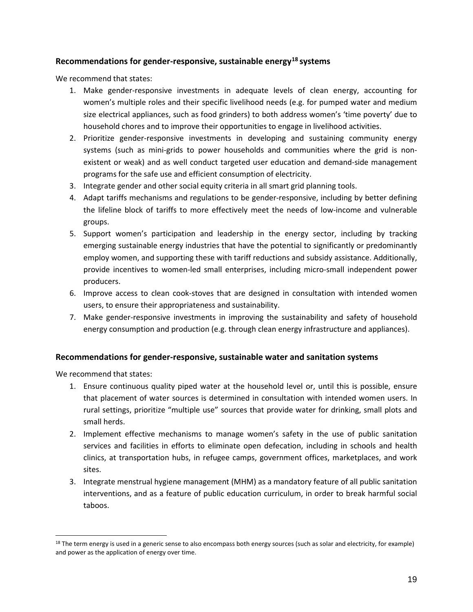#### **Recommendations for gender-responsive, sustainable energy[18](#page-18-0) systems**

We recommend that states:

- 1. Make gender-responsive investments in adequate levels of clean energy, accounting for women's multiple roles and their specific livelihood needs (e.g. for pumped water and medium size electrical appliances, such as food grinders) to both address women's 'time poverty' due to household chores and to improve their opportunities to engage in livelihood activities.
- 2. Prioritize gender-responsive investments in developing and sustaining community energy systems (such as mini-grids to power households and communities where the grid is nonexistent or weak) and as well conduct targeted user education and demand-side management programs for the safe use and efficient consumption of electricity.
- 3. Integrate gender and other social equity criteria in all smart grid planning tools.
- 4. Adapt tariffs mechanisms and regulations to be gender-responsive, including by better defining the lifeline block of tariffs to more effectively meet the needs of low-income and vulnerable groups.
- 5. Support women's participation and leadership in the energy sector, including by tracking emerging sustainable energy industries that have the potential to significantly or predominantly employ women, and supporting these with tariff reductions and subsidy assistance. Additionally, provide incentives to women-led small enterprises, including micro-small independent power producers.
- 6. Improve access to clean cook-stoves that are designed in consultation with intended women users, to ensure their appropriateness and sustainability.
- 7. Make gender-responsive investments in improving the sustainability and safety of household energy consumption and production (e.g. through clean energy infrastructure and appliances).

#### **Recommendations for gender-responsive, sustainable water and sanitation systems**

We recommend that states:

 $\overline{a}$ 

- 1. Ensure continuous quality piped water at the household level or, until this is possible, ensure that placement of water sources is determined in consultation with intended women users. In rural settings, prioritize "multiple use" sources that provide water for drinking, small plots and small herds.
- 2. Implement effective mechanisms to manage women's safety in the use of public sanitation services and facilities in efforts to eliminate open defecation, including in schools and health clinics, at transportation hubs, in refugee camps, government offices, marketplaces, and work sites.
- 3. Integrate menstrual hygiene management (MHM) as a mandatory feature of all public sanitation interventions, and as a feature of public education curriculum, in order to break harmful social taboos.

<span id="page-18-0"></span><sup>&</sup>lt;sup>18</sup> The term energy is used in a generic sense to also encompass both energy sources (such as solar and electricity, for example) and power as the application of energy over time.